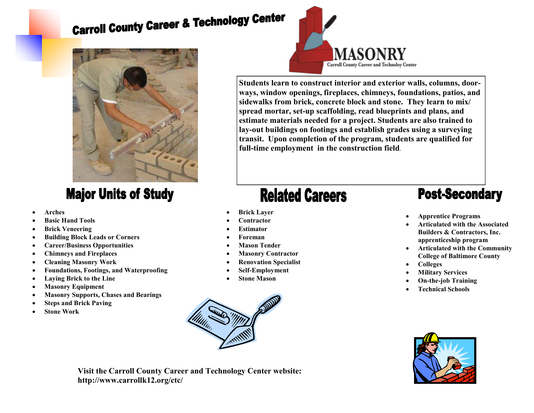# **Carroll County Career & Technology Center**



### **Major Units of Study**

- **Arches**
- **Basic Hand Tools**
- **Brick Veneering**
- **Building Block Leads or Corners**
- **Career/Business Opportunities**
- **Chimneys and Fireplaces**
- **Cleaning Masonry Work**
- **Foundations, Footings, and Waterproofing**
- **Laying Brick to the Line**
- **Masonry Equipment**
- **Masonry Supports, Chases and Bearings**
- **Steps and Brick Paving**
- **Stone Work**



**Students learn to construct interior and exterior walls, columns, doorways, window openings, fireplaces, chimneys, foundations, patios, and sidewalks from brick, concrete block and stone. They learn to mix/ spread mortar, set-up scaffolding, read blueprints and plans, and estimate materials needed for a project. Students are also trained to lay-out buildings on footings and establish grades using a surveying transit. Upon completion of the program, students are qualified for full-time employment in the construction field**.

## **Related Careers**

- **Brick Layer**
- **Contractor**
- **Estimator**
- **Foreman**
- **Mason Tender**
- **Masonry Contractor**
- **Renovation Specialist**
- **Self-Employment**
- **Stone Mason**



- **Apprentice Programs**
- **Articulated with the Associated Builders & Contractors, Inc. apprenticeship program**
- **Articulated with the Community College of Baltimore County**
- **Colleges**
- **Military Services**
- **On-the-job Training**
- **Technical Schools**





**Visit the Carroll County Career and Technology Center website: http://www.carrollk12.org/ctc/**